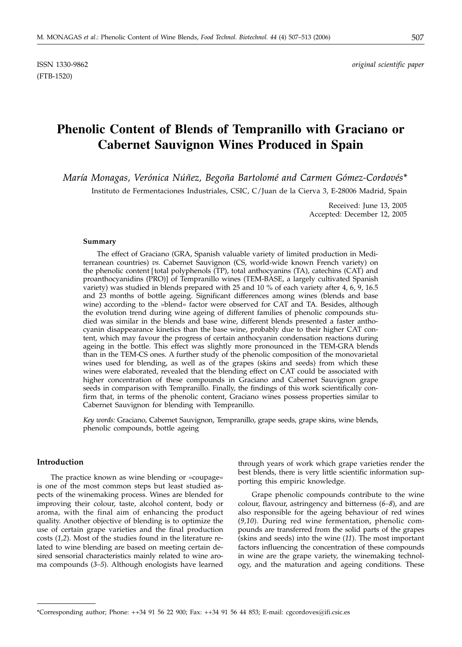(FTB-1520)

ISSN 1330-9862 *original scientific paper*

# **Phenolic Content of Blends of Tempranillo with Graciano or Cabernet Sauvignon Wines Produced in Spain**

*María Monagas, Verónica Núñez, Begoña Bartolomé and Carmen Gómez-Cordovés\**

Instituto de Fermentaciones Industriales, CSIC, C/Juan de la Cierva 3, E-28006 Madrid, Spain

Received: June 13, 2005 Accepted: December 12, 2005

#### **Summary**

The effect of Graciano (GRA, Spanish valuable variety of limited production in Mediterranean countries) *vs.* Cabernet Sauvignon (CS, world-wide known French variety) on the phenolic content [total polyphenols (TP), total anthocyanins (TA), catechins (CAT) and proanthocyanidins (PRO)] of Tempranillo wines (TEM-BASE, a largely cultivated Spanish variety) was studied in blends prepared with 25 and 10 % of each variety after 4, 6, 9, 16.5 and 23 months of bottle ageing. Significant differences among wines (blends and base wine) according to the »blend« factor were observed for CAT and TA. Besides, although the evolution trend during wine ageing of different families of phenolic compounds studied was similar in the blends and base wine, different blends presented a faster anthocyanin disappearance kinetics than the base wine, probably due to their higher CAT content, which may favour the progress of certain anthocyanin condensation reactions during ageing in the bottle. This effect was slightly more pronounced in the TEM-GRA blends than in the TEM-CS ones. A further study of the phenolic composition of the monovarietal wines used for blending, as well as of the grapes (skins and seeds) from which these wines were elaborated, revealed that the blending effect on CAT could be associated with higher concentration of these compounds in Graciano and Cabernet Sauvignon grape seeds in comparison with Tempranillo. Finally, the findings of this work scientifically confirm that, in terms of the phenolic content, Graciano wines possess properties similar to Cabernet Sauvignon for blending with Tempranillo.

*Key words:* Graciano, Cabernet Sauvignon, Tempranillo, grape seeds, grape skins, wine blends, phenolic compounds, bottle ageing

## **Introduction**

The practice known as wine blending or »coupage« is one of the most common steps but least studied aspects of the winemaking process. Wines are blended for improving their colour, taste, alcohol content, body or aroma, with the final aim of enhancing the product quality. Another objective of blending is to optimize the use of certain grape varieties and the final production costs (*1,2*). Most of the studies found in the literature related to wine blending are based on meeting certain desired sensorial characteristics mainly related to wine aroma compounds (*3–5*). Although enologists have learned

through years of work which grape varieties render the best blends, there is very little scientific information supporting this empiric knowledge.

Grape phenolic compounds contribute to the wine colour, flavour, astringency and bitterness (*6–8*), and are also responsible for the ageing behaviour of red wines (*9,10*). During red wine fermentation, phenolic compounds are transferred from the solid parts of the grapes (skins and seeds) into the wine (*11*). The most important factors influencing the concentration of these compounds in wine are the grape variety, the winemaking technology, and the maturation and ageing conditions. These

<sup>\*</sup>Corresponding author; Phone: ++34 91 56 22 900; Fax: ++34 91 56 44 853; E-mail: cgcordoves*@*ifi.csic.es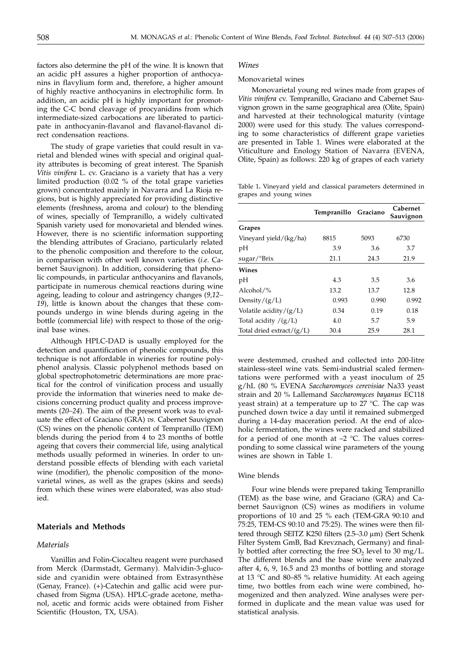factors also determine the pH of the wine. It is known that an acidic pH assures a higher proportion of anthocyanins in flavylium form and, therefore, a higher amount of highly reactive anthocyanins in electrophilic form. In addition, an acidic pH is highly important for promoting the C-C bond cleavage of procyanidins from which intermediate-sized carbocations are liberated to participate in anthocyanin-flavanol and flavanol-flavanol direct condensation reactions.

The study of grape varieties that could result in varietal and blended wines with special and original quality attributes is becoming of great interest. The Spanish *Vitis vinifera* L. cv. Graciano is a variety that has a very limited production (0.02 % of the total grape varieties grown) concentrated mainly in Navarra and La Rioja regions, but is highly appreciated for providing distinctive elements (freshness, aroma and colour) to the blending of wines, specially of Tempranillo, a widely cultivated Spanish variety used for monovarietal and blended wines. However, there is no scientific information supporting the blending attributes of Graciano, particularly related to the phenolic composition and therefore to the colour, in comparison with other well known varieties (*i.e*. Cabernet Sauvignon). In addition, considering that phenolic compounds, in particular anthocyanins and flavanols, participate in numerous chemical reactions during wine ageing, leading to colour and astringency changes (*9,12– 19*), little is known about the changes that these compounds undergo in wine blends during ageing in the bottle (commercial life) with respect to those of the original base wines.

Although HPLC-DAD is usually employed for the detection and quantification of phenolic compounds, this technique is not affordable in wineries for routine polyphenol analysis. Classic polyphenol methods based on global spectrophotometric determinations are more practical for the control of vinification process and usually provide the information that wineries need to make decisions concerning product quality and process improvements (*20–24*). The aim of the present work was to evaluate the effect of Graciano (GRA) *vs.* Cabernet Sauvignon (CS) wines on the phenolic content of Tempranillo (TEM) blends during the period from 4 to 23 months of bottle ageing that covers their commercial life, using analytical methods usually peformed in wineries. In order to understand possible effects of blending with each varietal wine (modifier), the phenolic composition of the monovarietal wines, as well as the grapes (skins and seeds) from which these wines were elaborated, was also studied.

## **Materials and Methods**

#### *Materials*

Vanillin and Folin-Ciocalteu reagent were purchased from Merck (Darmstadt, Germany). Malvidin-3-glucoside and cyanidin were obtained from Extrasynthèse (Genay, France). (+)-Catechin and gallic acid were purchased from Sigma (USA). HPLC-grade acetone, methanol, acetic and formic acids were obtained from Fisher Scientific (Houston, TX, USA).

### *Wines*

### Monovarietal wines

Monovarietal young red wines made from grapes of *Vitis vinifera* cv. Tempranillo, Graciano and Cabernet Sauvignon grown in the same geographical area (Olite, Spain) and harvested at their technological maturity (vintage 2000) were used for this study. The values corresponding to some characteristics of different grape varieties are presented in Table 1. Wines were elaborated at the Viticulture and Enology Station of Navarra (EVENA, Olite, Spain) as follows: 220 kg of grapes of each variety

Table 1**.** Vineyard yield and classical parameters determined in grapes and young wines

|                                    | Tempranillo | Graciano | Cabernet<br>Sauvignon |
|------------------------------------|-------------|----------|-----------------------|
| Grapes                             |             |          |                       |
| Vineyard yield/(kg/ha)             | 8815        | 5093     | 6730                  |
| pH                                 | 3.9         | 3.6      | 3.7                   |
| $\frac{\text{Sugar}}{\text{Brix}}$ | 21.1        | 24.3     | 21.9                  |
| Wines                              |             |          |                       |
| pH                                 | 4.3         | 3.5      | 3.6                   |
| Alcohol/%                          | 13.2        | 13.7     | 12.8                  |
| Density/ $(g/L)$                   | 0.993       | 0.990    | 0.992                 |
| Volatile acidity/ $(g/L)$          | 0.34        | 0.19     | 0.18                  |
| Total acidity $/(\mathbf{g}/L)$    | 4.0         | 5.7      | 5.9                   |
| Total dried extract/ $(g/L)$       | 30.4        | 25.9     | 28.1                  |

were destemmed, crushed and collected into 200-litre stainless-steel wine vats. Semi-industrial scaled fermentations were performed with a yeast inoculum of 25 g/hL (80 % EVENA *Saccharomyces cerevisiae* Na33 yeast strain and 20 % Lallemand *Saccharomyces bayanus* EC118 yeast strain) at a temperature up to  $27$  °C. The cap was punched down twice a day until it remained submerged during a 14-day maceration period. At the end of alcoholic fermentation, the wines were racked and stabilized for a period of one month at  $-2$  °C. The values corresponding to some classical wine parameters of the young wines are shown in Table 1.

#### Wine blends

Four wine blends were prepared taking Tempranillo (TEM) as the base wine, and Graciano (GRA) and Cabernet Sauvignon (CS) wines as modifiers in volume proportions of 10 and 25 % each (TEM-GRA 90:10 and 75:25, TEM-CS 90:10 and 75:25). The wines were then filtered through SEITZ K250 filters  $(2.5-3.0 \,\mu m)$  (Sert Schenk Filter System GmB, Bad Krevznach, Germany) and finally bottled after correcting the free  $SO<sub>2</sub>$  level to 30 mg/L. The different blends and the base wine were analyzed after 4, 6, 9, 16.5 and 23 months of bottling and storage at 13 °C and 80–85 % relative humidity. At each ageing time, two bottles from each wine were combined, homogenized and then analyzed. Wine analyses were performed in duplicate and the mean value was used for statistical analysis.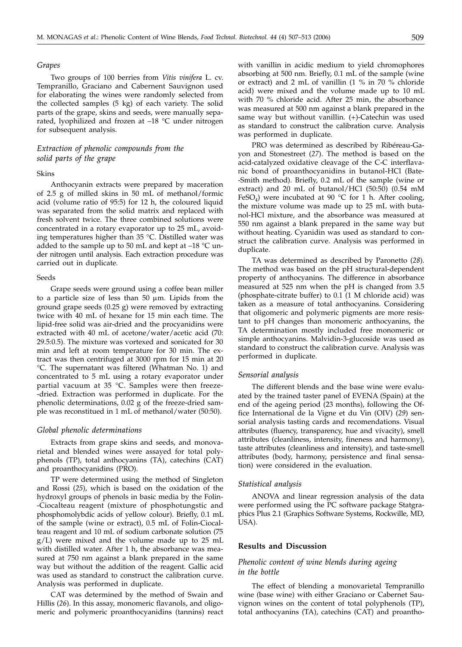#### *Grapes*

Two groups of 100 berries from *Vitis vinifera* L. cv. Tempranillo, Graciano and Cabernent Sauvignon used for elaborating the wines were randomly selected from the collected samples (5 kg) of each variety. The solid parts of the grape, skins and seeds, were manually separated, lyophilized and frozen at –18 °C under nitrogen for subsequent analysis.

## *Extraction of phenolic compounds from the solid parts of the grape*

#### Skins

Anthocyanin extracts were prepared by maceration of 2.5 g of milled skins in 50 mL of methanol/formic acid (volume ratio of 95:5) for 12 h, the coloured liquid was separated from the solid matrix and replaced with fresh solvent twice. The three combined solutions were concentrated in a rotary evaporator up to 25 mL, avoiding temperatures higher than 35 °C. Distilled water was added to the sample up to 50 mL and kept at  $-18$  °C under nitrogen until analysis. Each extraction procedure was carried out in duplicate.

#### Seeds

Grape seeds were ground using a coffee bean miller to a particle size of less than 50  $\mu$ m. Lipids from the ground grape seeds (0.25 g) were removed by extracting twice with 40 mL of hexane for 15 min each time. The lipid-free solid was air-dried and the procyanidins were extracted with 40 mL of acetone/water/acetic acid (70: 29.5:0.5). The mixture was vortexed and sonicated for 30 min and left at room temperature for 30 min. The extract was then centrifuged at 3000 rpm for 15 min at 20 °C. The supernatant was filtered (Whatman No. 1) and concentrated to 5 mL using a rotary evaporator under partial vacuum at 35 °C. Samples were then freeze- -dried. Extraction was performed in duplicate. For the phenolic determinations, 0.02 g of the freeze-dried sample was reconstitued in 1 mL of methanol/water (50:50).

#### *Global phenolic determinations*

Extracts from grape skins and seeds, and monovarietal and blended wines were assayed for total polyphenols (TP), total anthocyanins (TA), catechins (CAT) and proanthocyanidins (PRO).

TP were determined using the method of Singleton and Rossi (*25*), which is based on the oxidation of the hydroxyl groups of phenols in basic media by the Folin- -Ciocalteau reagent (mixture of phosphotungstic and phosphomolybdic acids of yellow colour). Briefly, 0.1 mL of the sample (wine or extract), 0.5 mL of Folin-Ciocalteau reagent and 10 mL of sodium carbonate solution (75 g/L) were mixed and the volume made up to 25 mL with distilled water. After 1 h, the absorbance was measured at 750 nm against a blank prepared in the same way but without the addition of the reagent. Gallic acid was used as standard to construct the calibration curve. Analysis was performed in duplicate.

CAT was determined by the method of Swain and Hillis (*26*). In this assay, monomeric flavanols, and oligomeric and polymeric proanthocyanidins (tannins) react

with vanillin in acidic medium to yield chromophores absorbing at 500 nm. Briefly, 0.1 mL of the sample (wine or extract) and 2 mL of vanillin (1 % in 70 % chloride acid) were mixed and the volume made up to 10 mL with 70 % chloride acid. After 25 min, the absorbance was measured at 500 nm against a blank prepared in the same way but without vanillin. (+)-Catechin was used as standard to construct the calibration curve. Analysis was performed in duplicate.

PRO was determined as described by Ribéreau-Gayon and Stonestreet (*27*). The method is based on the acid-catalyzed oxidative cleavage of the C-C interflavanic bond of proanthocyanidins in butanol-HCl (Bate- -Smith method). Briefly, 0.2 mL of the sample (wine or extract) and 20 mL of butanol/HCl (50:50) (0.54 mM FeSO<sub>4</sub>) were incubated at 90 °C for 1 h. After cooling, the mixture volume was made up to 25 mL with butanol-HCl mixture, and the absorbance was measured at 550 nm against a blank prepared in the same way but without heating. Cyanidin was used as standard to construct the calibration curve. Analysis was performed in duplicate.

TA was determined as described by Paronetto (*28*). The method was based on the pH structural-dependent property of anthocyanins. The difference in absorbance measured at 525 nm when the pH is changed from 3.5 (phosphate-citrate buffer) to 0.1 (1 M chloride acid) was taken as a measure of total anthocyanins. Considering that oligomeric and polymeric pigments are more resistant to pH changes than monomeric anthocyanins, the TA determination mostly included free monomeric or simple anthocyanins. Malvidin-3-glucoside was used as standard to construct the calibration curve. Analysis was performed in duplicate.

#### *Sensorial analysis*

The different blends and the base wine were evaluated by the trained taster panel of EVENA (Spain) at the end of the ageing period (23 months), following the Office International de la Vigne et du Vin (OIV) (*29*) sensorial analysis tasting cards and recomendations. Visual attributes (fluency, transparency, hue and vivacity), smell attributes (cleanliness, intensity, fineness and harmony), taste attributes (cleanliness and intensity), and taste-smell attributes (body, harmony, persistence and final sensation) were considered in the evaluation.

#### *Statistical analysis*

ANOVA and linear regression analysis of the data were performed using the PC software package Statgraphics Plus 2.1 (Graphics Software Systems, Rockwille, MD, USA).

#### **Results and Discussion**

### *Phenolic content of wine blends during ageing in the bottle*

The effect of blending a monovarietal Tempranillo wine (base wine) with either Graciano or Cabernet Sauvignon wines on the content of total polyphenols (TP), total anthocyanins (TA), catechins (CAT) and proantho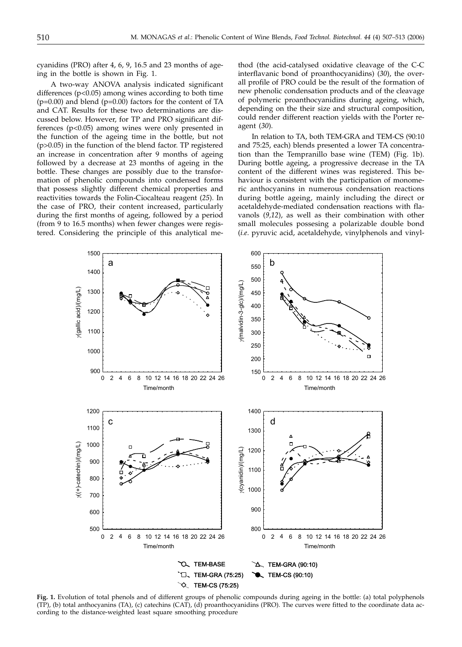cyanidins (PRO) after 4, 6, 9, 16.5 and 23 months of ageing in the bottle is shown in Fig. 1.

A two-way ANOVA analysis indicated significant differences  $(p<0.05)$  among wines according to both time  $(p=0.00)$  and blend  $(p=0.00)$  factors for the content of TA and CAT. Results for these two determinations are discussed below. However, for TP and PRO significant differences (p<0.05) among wines were only presented in the function of the ageing time in the bottle, but not (p>0.05) in the function of the blend factor. TP registered an increase in concentration after 9 months of ageing followed by a decrease at 23 months of ageing in the bottle. These changes are possibly due to the transformation of phenolic compounds into condensed forms that possess slightly different chemical properties and reactivities towards the Folin-Ciocalteau reagent (*25*). In the case of PRO, their content increased, particularly during the first months of ageing, followed by a period (from 9 to 16.5 months) when fewer changes were registered. Considering the principle of this analytical me-

thod (the acid-catalysed oxidative cleavage of the C-C interflavanic bond of proanthocyanidins) (*30*), the overall profile of PRO could be the result of the formation of new phenolic condensation products and of the cleavage of polymeric proanthocyanidins during ageing, which, depending on the their size and structural composition, could render different reaction yields with the Porter reagent (*30*).

In relation to TA, both TEM-GRA and TEM-CS (90:10 and 75:25, each) blends presented a lower TA concentration than the Tempranillo base wine (TEM) (Fig. 1b). During bottle ageing, a progressive decrease in the TA content of the different wines was registered. This behaviour is consistent with the participation of monomeric anthocyanins in numerous condensation reactions during bottle ageing, mainly including the direct or acetaldehyde-mediated condensation reactions with flavanols (*9,12*), as well as their combination with other small molecules possesing a polarizable double bond (*i.e*. pyruvic acid, acetaldehyde, vinylphenols and vinyl-



**Fig. 1.** Evolution of total phenols and of different groups of phenolic compounds during ageing in the bottle: (a) total polyphenols (TP), (b) total anthocyanins (TA), (c) catechins (CAT), (d) proanthocyanidins (PRO). The curves were fitted to the coordinate data according to the distance-weighted least square smoothing procedure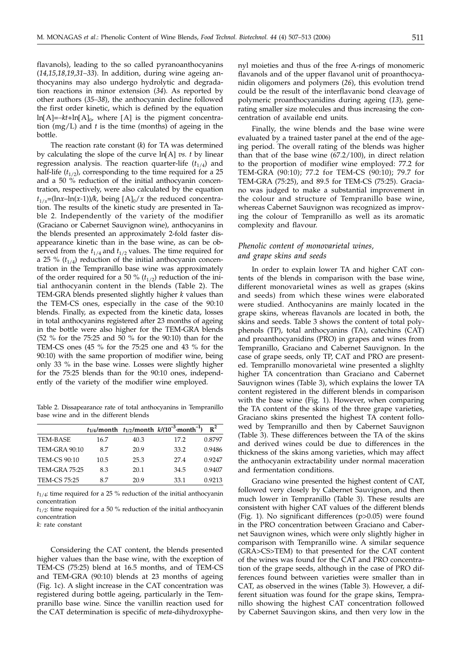flavanols), leading to the so called pyranoanthocyanins (*14,15,18,19,31–33*). In addition, during wine ageing anthocyanins may also undergo hydrolytic and degradation reactions in minor extension (*34*). As reported by other authors (*35–38*), the anthocyanin decline followed the first order kinetic, which is defined by the equation ln[A]*=–kt+*ln[A]0, where [A] is the pigment concentration (mg/L) and *t* is the time (months) of ageing in the bottle.

The reaction rate constant (*k*) for TA was determined by calculating the slope of the curve ln[A] *vs. t* by linear regression analysis. The reaction quarter-life  $(t_{1/4})$  and half-life  $(t_{1/2})$ , corresponding to the time required for a 25 and a 50 % reduction of the initial anthocyanin concentration, respectively, were also calculated by the equation  $t_{1/x}$ =(ln*x*-ln(*x*-1))/k, being [A]<sub>0</sub>/*x* the reduced concentration. The results of the kinetic study are presented in Table 2. Independently of the variety of the modifier (Graciano or Cabernet Sauvignon wine), anthocyanins in the blends presented an approximately 2-fold faster disappearance kinetic than in the base wine, as can be observed from the  $t_{1/4}$  and  $t_{1/2}$  values. The time required for a 25 %  $(t_{1/4})$  reduction of the initial anthocyanin concentration in the Tempranillo base wine was approximately of the order required for a 50  $\%$  ( $t_{1/2}$ ) reduction of the initial anthocyanin content in the blends (Table 2). The TEM-GRA blends presented slightly higher *k* values than the TEM-CS ones, especially in the case of the 90:10 blends. Finally, as expected from the kinetic data, losses in total anthocyanins registered after 23 months of ageing in the bottle were also higher for the TEM-GRA blends (52 % for the 75:25 and 50 % for the 90:10) than for the TEM-CS ones (45 % for the 75:25 one and 43 % for the 90:10) with the same proportion of modifier wine, being only 33 % in the base wine. Losses were slightly higher for the 75:25 blends than for the 90:10 ones, independently of the variety of the modifier wine employed.

Table 2. Dissapearance rate of total anthocyanins in Tempranillo base wine and in the different blends

|                      |      |      | $t_{1/4}$ /month $t_{1/2}$ /month $k/(10^{-3}$ ·month <sup>-1</sup> ) | $R^2$  |
|----------------------|------|------|-----------------------------------------------------------------------|--------|
| <b>TEM-BASE</b>      | 16.7 | 40.3 | 17.2                                                                  | 0.8797 |
| <b>TEM-GRA 90:10</b> | 8.7  | 20.9 | 33.2                                                                  | 0.9486 |
| <b>TEM-CS 90:10</b>  | 10.5 | 25.3 | 27.4                                                                  | 0.9247 |
| <b>TEM-GRA 75:25</b> | 8.3  | 20.1 | 34.5                                                                  | 0.9407 |
| <b>TEM-CS 75:25</b>  | 8.7  | 20.9 | 33.1                                                                  | 0.9213 |

*t*1/4: time required for a 25 % reduction of the initial anthocyanin concentration

*t*1/2: time required for a 50 % reduction of the initial anthocyanin concentration

*k:* rate constant

Considering the CAT content, the blends presented higher values than the base wine, with the exception of TEM-CS (75:25) blend at 16.5 months, and of TEM-CS and TEM-GRA (90:10) blends at 23 months of ageing (Fig. 1c). A slight increase in the CAT concentration was registered during bottle ageing, particularly in the Tempranillo base wine. Since the vanillin reaction used for the CAT determination is specific of *meta*-dihydroxyphenyl moieties and thus of the free A-rings of monomeric flavanols and of the upper flavanol unit of proanthocyanidin oligomers and polymers (*26*), this evolution trend could be the result of the interflavanic bond cleavage of polymeric proanthocyanidins during ageing (*13*), generating smaller size molecules and thus increasing the concentration of available end units.

Finally, the wine blends and the base wine were evaluated by a trained taster panel at the end of the ageing period. The overall rating of the blends was higher than that of the base wine  $(67.2/100)$ , in direct relation to the proportion of modifier wine employed: 77.2 for TEM-GRA (90:10); 77.2 for TEM-CS (90:10); 79.7 for TEM-GRA (75:25), and 89.5 for TEM-CS (75:25). Graciano was judged to make a substantial improvement in the colour and structure of Tempranillo base wine, whereas Cabernet Sauvignon was recognized as improving the colour of Tempranillo as well as its aromatic complexity and flavour.

## *Phenolic content of monovarietal wines, and grape skins and seeds*

In order to explain lower TA and higher CAT contents of the blends in comparison with the base wine, different monovarietal wines as well as grapes (skins and seeds) from which these wines were elaborated were studied. Anthocyanins are mainly located in the grape skins, whereas flavanols are located in both, the skins and seeds. Table 3 shows the content of total polyphenols (TP), total anthocyanins (TA), catechins (CAT) and proanthocyanidins (PRO) in grapes and wines from Tempranillo, Graciano and Cabernet Sauvignon. In the case of grape seeds, only TP, CAT and PRO are presented. Tempranillo monovarietal wine presented a slighlty higher TA concentration than Graciano and Cabernet Sauvignon wines (Table 3), which explains the lower TA content registered in the different blends in comparison with the base wine (Fig. 1). However, when comparing the TA content of the skins of the three grape varieties, Graciano skins presented the highest TA content followed by Tempranillo and then by Cabernet Sauvignon (Table 3). These differences between the TA of the skins and derived wines could be due to differences in the thickness of the skins among varieties, which may affect the anthocyanin extractability under normal maceration and fermentation conditions.

Graciano wine presented the highest content of CAT, followed very closely by Cabernet Sauvignon, and then much lower in Tempranillo (Table 3). These results are consistent with higher CAT values of the different blends (Fig. 1). No significant differences (p>0.05) were found in the PRO concentration between Graciano and Cabernet Sauvignon wines, which were only slightly higher in comparison with Tempranillo wine. A similar sequence (GRA>CS>TEM) to that presented for the CAT content of the wines was found for the CAT and PRO concentration of the grape seeds, although in the case of PRO differences found between varieties were smaller than in CAT, as observed in the wines (Table 3). However, a different situation was found for the grape skins, Tempranillo showing the highest CAT concentration followed by Cabernet Sauvingon skins, and then very low in the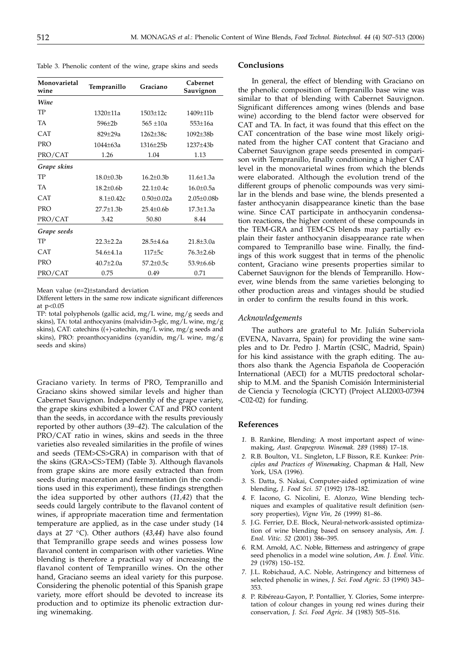Table 3. Phenolic content of the wine, grape skins and seeds

| Monovarietal<br>wine | Tempranillo      | Graciano         | Cabernet<br>Sauvignon |
|----------------------|------------------|------------------|-----------------------|
| Wine                 |                  |                  |                       |
| TP                   | 1320±11a         | $1503 \pm 12c$   | 1409±11b              |
| <b>TA</b>            | $596 \pm 2b$     | $565 \pm 10a$    | $553 \pm 16a$         |
| <b>CAT</b>           | 829±29a          | $1262 \pm 38c$   | $1092 \pm 38b$        |
| <b>PRO</b>           | $1044 + 63a$     | $1316 \pm 25b$   | 1237±43b              |
| PRO/CAT              | 1.26             | 1.04             | 1.13                  |
| Grape skins          |                  |                  |                       |
| TP                   | $18.0 \pm 0.3 b$ | $16.2 \pm 0.3 b$ | $11.6 \pm 1.3a$       |
| <b>TA</b>            | $18.2 \pm 0.6$   | $22.1 \pm 0.4c$  | $16.0 \pm 0.5a$       |
| <b>CAT</b>           | $8.1 \pm 0.42c$  | $0.50 \pm 0.02a$ | $2.05 \pm 0.08$       |
| <b>PRO</b>           | 27.7±1.3b        | $25.4 \pm 0.6$   | $17.3 \pm 1.3a$       |
| PRO/CAT              | 3.42             | 50.80            | 8.44                  |
| Grape seeds          |                  |                  |                       |
| TP                   | $22.3 \pm 2.2a$  | $28.5 \pm 4.6a$  | $21.8 \pm 3.0a$       |
| CAT                  | $54.6 + 4.1a$    | $117\pm5c$       | 76.3±2.6b             |
| <b>PRO</b>           | $40.7{\pm}2.0a$  | $57.2 \pm 0.5c$  | 53.9±6.6b             |
| PRO/CAT              | 0.75             | 0.49             | 0.71                  |

Mean value (*n*=2)±standard deviation

Different letters in the same row indicate significant differences at p<0.05

TP: total polyphenols (gallic acid, mg/L wine, mg/g seeds and skins), TA: total anthocyanins (malvidin-3-glc, mg/L wine, mg/g skins), CAT: catechins ((+)-catechin, mg/L wine, mg/g seeds and skins), PRO: proanthocyanidins (cyanidin, mg/L wine, mg/g seeds and skins)

Graciano variety. In terms of PRO, Tempranillo and Graciano skins showed similar levels and higher than Cabernet Sauvignon. Independently of the grape variety, the grape skins exhibited a lower CAT and PRO content than the seeds, in accordance with the results previously reported by other authors (*39–42*). The calculation of the PRO/CAT ratio in wines, skins and seeds in the three varieties also revealed similarities in the profile of wines and seeds (TEM>CS>GRA) in comparison with that of the skins (GRA>CS>TEM) (Table 3). Although flavanols from grape skins are more easily extracted than from seeds during maceration and fermentation (in the conditions used in this experiment), these findings strengthen the idea supported by other authors (*11,42*) that the seeds could largely contribute to the flavanol content of wines, if appropriate maceration time and fermentation temperature are applied, as in the case under study (14 days at 27 °C). Other authors (*43,44*) have also found that Tempranillo grape seeds and wines possess low flavanol content in comparison with other varieties. Wine blending is therefore a practical way of increasing the flavanol content of Tempranillo wines. On the other hand, Graciano seems an ideal variety for this purpose. Considering the phenolic potential of this Spanish grape variety, more effort should be devoted to increase its production and to optimize its phenolic extraction during winemaking.

## **Conclusions**

In general, the effect of blending with Graciano on the phenolic composition of Tempranillo base wine was similar to that of blending with Cabernet Sauvignon. Significant differences among wines (blends and base wine) according to the blend factor were observed for CAT and TA. In fact, it was found that this effect on the CAT concentration of the base wine most likely originated from the higher CAT content that Graciano and Cabernet Sauvignon grape seeds presented in comparison with Tempranillo, finally conditioning a higher CAT level in the monovarietal wines from which the blends were elaborated. Although the evolution trend of the different groups of phenolic compounds was very similar in the blends and base wine, the blends presented a faster anthocyanin disappearance kinetic than the base wine. Since CAT participate in anthocyanin condensation reactions, the higher content of these compounds in the TEM-GRA and TEM-CS blends may partially explain their faster anthocyanin disappearance rate when compared to Tempranillo base wine. Finally, the findings of this work suggest that in terms of the phenolic content, Graciano wine presents properties similar to Cabernet Sauvignon for the blends of Tempranillo. However, wine blends from the same varieties belonging to other production areas and vintages should be studied in order to confirm the results found in this work.

#### *Acknowledgements*

The authors are grateful to Mr. Julián Suberviola (EVENA, Navarra, Spain) for providing the wine samples and to Dr. Pedro J. Martín (CSIC, Madrid, Spain) for his kind assistance with the graph editing. The authors also thank the Agencia Española de Cooperación International (AECI) for a MUTIS predoctoral scholarship to M.M. and the Spanish Comisión Interministerial de Ciencia y Tecnología (CICYT) (Project ALI2003-07394 -C02-02) for funding.

#### **References**

- *1.* B. Rankine, Blending: A most important aspect of winemaking, *Aust. Grapegrow. Winemak. 289* (1988) 17–18.
- *2.* R.B. Boulton, V.L. Singleton, L.F Bisson, R.E. Kunkee: *Principles and Practices of Winemaking*, Chapman & Hall, New York, USA (1996).
- *3.* S. Datta, S. Nakai, Computer-aided optimization of wine blending, *J. Food Sci*. *57* (1992) 178–182.
- *4.* F. Iacono, G. Nicolini, E. Alonzo, Wine blending techniques and examples of qualitative result definition (sensory properties), *Vigne Vin, 26* (1999) 81–86.
- *5.* J.G. Ferrier, D.E. Block, Neural-network-assisted optimization of wine blending based on sensory analysis, *Am. J. Enol. Vitic. 52* (2001) 386–395.
- *6.* R.M. Arnold, A.C. Noble, Bitterness and astringency of grape seed phenolics in a model wine solution, *Am. J. Enol. Vitic. 29* (1978) 150–152.
- *7.* J.L. Robichaud, A.C. Noble, Astringency and bitterness of selected phenolic in wines, *J. Sci. Food Agric. 53* (1990) 343– 353.
- *8.* P. Ribéreau-Gayon, P. Pontallier, Y. Glories, Some interpretation of colour changes in young red wines during their conservation, *J. Sci. Food Agric*. *34* (1983) 505–516.